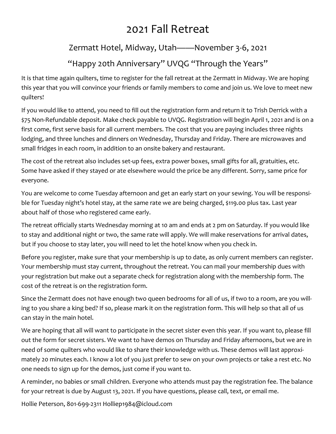### 2021 Fall Retreat

#### Zermatt Hotel, Midway, Utah——November 3-6, 2021

#### "Happy 20th Anniversary" UVQG "Through the Years"

It is that time again quilters, time to register for the fall retreat at the Zermatt in Midway. We are hoping this year that you will convince your friends or family members to come and join us. We love to meet new quilters!

If you would like to attend, you need to fill out the registration form and return it to Trish Derrick with a \$75 Non-Refundable deposit. Make check payable to UVQG. Registration will begin April 1, 2021 and is on a first come, first serve basis for all current members. The cost that you are paying includes three nights lodging, and three lunches and dinners on Wednesday, Thursday and Friday. There are microwaves and small fridges in each room, in addition to an onsite bakery and restaurant.

The cost of the retreat also includes set-up fees, extra power boxes, small gifts for all, gratuities, etc. Some have asked if they stayed or ate elsewhere would the price be any different. Sorry, same price for everyone.

You are welcome to come Tuesday afternoon and get an early start on your sewing. You will be responsible for Tuesday night's hotel stay, at the same rate we are being charged, \$119.00 plus tax. Last year about half of those who registered came early.

The retreat officially starts Wednesday morning at 10 am and ends at 2 pm on Saturday. If you would like to stay and additional night or two, the same rate will apply. We will make reservations for arrival dates, but if you choose to stay later, you will need to let the hotel know when you check in.

Before you register, make sure that your membership is up to date, as only current members can register. Your membership must stay current, throughout the retreat. You can mail your membership dues with your registration but make out a separate check for registration along with the membership form. The cost of the retreat is on the registration form.

Since the Zermatt does not have enough two queen bedrooms for all of us, if two to a room, are you willing to you share a king bed? If so, please mark it on the registration form. This will help so that all of us can stay in the main hotel.

We are hoping that all will want to participate in the secret sister even this year. If you want to, please fill out the form for secret sisters. We want to have demos on Thursday and Friday afternoons, but we are in need of some quilters who would like to share their knowledge with us. These demos will last approximately 20 minutes each. I know a lot of you just prefer to sew on your own projects or take a rest etc. No one needs to sign up for the demos, just come if you want to.

A reminder, no babies or small children. Everyone who attends must pay the registration fee. The balance for your retreat is due by August 13, 2021. If you have questions, please call, text, or email me.

Hollie Peterson, 801-699-2311 Holliep1984@icloud.com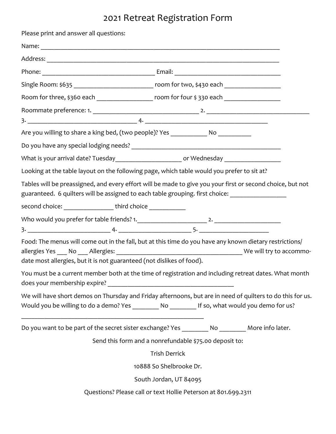## 2021 Retreat Registration Form

| Please print and answer all questions:                                                                                                                                           |                                                                                                                                                                                                                   |
|----------------------------------------------------------------------------------------------------------------------------------------------------------------------------------|-------------------------------------------------------------------------------------------------------------------------------------------------------------------------------------------------------------------|
|                                                                                                                                                                                  |                                                                                                                                                                                                                   |
|                                                                                                                                                                                  |                                                                                                                                                                                                                   |
|                                                                                                                                                                                  |                                                                                                                                                                                                                   |
| Single Room: \$635 _________________________________ room for two, \$430 each _______________________                                                                            |                                                                                                                                                                                                                   |
|                                                                                                                                                                                  | Room for three, \$360 each ______________________ room for four \$330 each __________________                                                                                                                     |
|                                                                                                                                                                                  |                                                                                                                                                                                                                   |
|                                                                                                                                                                                  |                                                                                                                                                                                                                   |
| Are you willing to share a king bed, (two people)? Yes ______________ No ___________                                                                                             |                                                                                                                                                                                                                   |
|                                                                                                                                                                                  |                                                                                                                                                                                                                   |
| What is your arrival date? Tuesday_________________________ or Wednesday __________________________                                                                              |                                                                                                                                                                                                                   |
| Looking at the table layout on the following page, which table would you prefer to sit at?                                                                                       |                                                                                                                                                                                                                   |
|                                                                                                                                                                                  | Tables will be preassigned, and every effort will be made to give you your first or second choice, but not<br>guaranteed. 6 quilters will be assigned to each table grouping. first choice: _____________________ |
| second choice: ___________________ third choice ____________                                                                                                                     |                                                                                                                                                                                                                   |
|                                                                                                                                                                                  |                                                                                                                                                                                                                   |
|                                                                                                                                                                                  |                                                                                                                                                                                                                   |
| Food: The menus will come out in the fall, but at this time do you have any known dietary restrictions/<br>date most allergies, but it is not guaranteed (not dislikes of food). |                                                                                                                                                                                                                   |
| You must be a current member both at the time of registration and including retreat dates. What month                                                                            |                                                                                                                                                                                                                   |
|                                                                                                                                                                                  | We will have short demos on Thursday and Friday afternoons, but are in need of quilters to do this for us.<br>Would you be willing to do a demo? Yes _________ No ________ If so, what would you demo for us?     |
|                                                                                                                                                                                  | Do you want to be part of the secret sister exchange? Yes _________ No ________ More info later.                                                                                                                  |
| Send this form and a nonrefundable \$75.00 deposit to:                                                                                                                           |                                                                                                                                                                                                                   |
| <b>Trish Derrick</b>                                                                                                                                                             |                                                                                                                                                                                                                   |
| 10888 So Shelbrooke Dr.                                                                                                                                                          |                                                                                                                                                                                                                   |
|                                                                                                                                                                                  | South Jordan, UT 84095                                                                                                                                                                                            |
| Questions? Please call or text Hollie Peterson at 801.699.2311                                                                                                                   |                                                                                                                                                                                                                   |